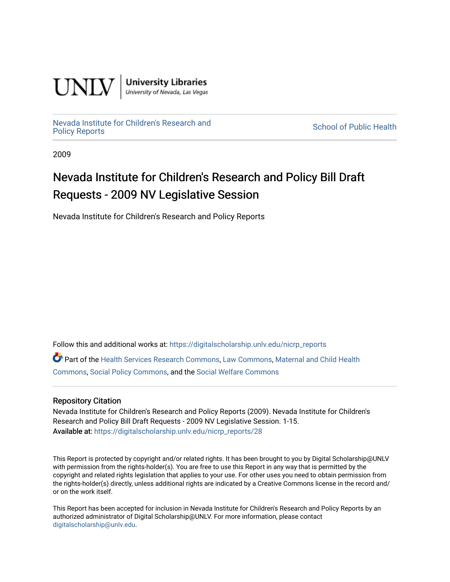

**University Libraries**<br>University of Nevada, Las Vegas

[Nevada Institute for Children's Research and](https://digitalscholarship.unlv.edu/nicrp_reports)

**School of Public Health** 

2009

## Nevada Institute for Children's Research and Policy Bill Draft Requests - 2009 NV Legislative Session

Nevada Institute for Children's Research and Policy Reports

Follow this and additional works at: [https://digitalscholarship.unlv.edu/nicrp\\_reports](https://digitalscholarship.unlv.edu/nicrp_reports?utm_source=digitalscholarship.unlv.edu%2Fnicrp_reports%2F28&utm_medium=PDF&utm_campaign=PDFCoverPages)

Part of the [Health Services Research Commons,](http://network.bepress.com/hgg/discipline/816?utm_source=digitalscholarship.unlv.edu%2Fnicrp_reports%2F28&utm_medium=PDF&utm_campaign=PDFCoverPages) [Law Commons](http://network.bepress.com/hgg/discipline/578?utm_source=digitalscholarship.unlv.edu%2Fnicrp_reports%2F28&utm_medium=PDF&utm_campaign=PDFCoverPages), [Maternal and Child Health](http://network.bepress.com/hgg/discipline/745?utm_source=digitalscholarship.unlv.edu%2Fnicrp_reports%2F28&utm_medium=PDF&utm_campaign=PDFCoverPages)  [Commons](http://network.bepress.com/hgg/discipline/745?utm_source=digitalscholarship.unlv.edu%2Fnicrp_reports%2F28&utm_medium=PDF&utm_campaign=PDFCoverPages), [Social Policy Commons,](http://network.bepress.com/hgg/discipline/1030?utm_source=digitalscholarship.unlv.edu%2Fnicrp_reports%2F28&utm_medium=PDF&utm_campaign=PDFCoverPages) and the [Social Welfare Commons](http://network.bepress.com/hgg/discipline/401?utm_source=digitalscholarship.unlv.edu%2Fnicrp_reports%2F28&utm_medium=PDF&utm_campaign=PDFCoverPages) 

## Repository Citation

Nevada Institute for Children's Research and Policy Reports (2009). Nevada Institute for Children's Research and Policy Bill Draft Requests - 2009 NV Legislative Session. 1-15. Available at: [https://digitalscholarship.unlv.edu/nicrp\\_reports/28](https://digitalscholarship.unlv.edu/nicrp_reports/28) 

This Report is protected by copyright and/or related rights. It has been brought to you by Digital Scholarship@UNLV with permission from the rights-holder(s). You are free to use this Report in any way that is permitted by the copyright and related rights legislation that applies to your use. For other uses you need to obtain permission from the rights-holder(s) directly, unless additional rights are indicated by a Creative Commons license in the record and/ or on the work itself.

This Report has been accepted for inclusion in Nevada Institute for Children's Research and Policy Reports by an authorized administrator of Digital Scholarship@UNLV. For more information, please contact [digitalscholarship@unlv.edu](mailto:digitalscholarship@unlv.edu).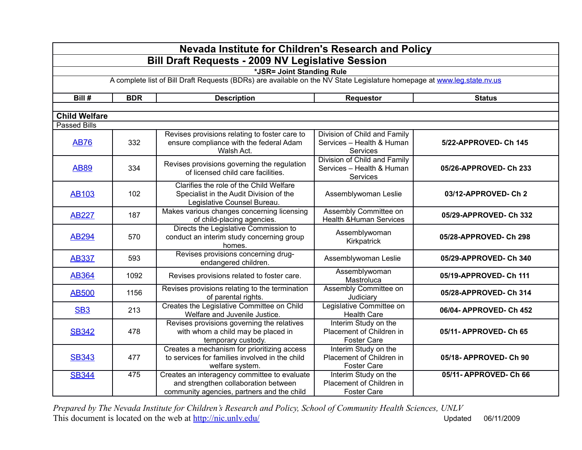| Nevada Institute for Children's Research and Policy |                                                          |                                                                                                                                    |                                                                        |                        |  |  |
|-----------------------------------------------------|----------------------------------------------------------|------------------------------------------------------------------------------------------------------------------------------------|------------------------------------------------------------------------|------------------------|--|--|
|                                                     | <b>Bill Draft Requests - 2009 NV Legislative Session</b> |                                                                                                                                    |                                                                        |                        |  |  |
|                                                     | *JSR= Joint Standing Rule                                |                                                                                                                                    |                                                                        |                        |  |  |
|                                                     |                                                          | A complete list of Bill Draft Requests (BDRs) are available on the NV State Legislature homepage at www.leg.state.nv.us            |                                                                        |                        |  |  |
| Bill #                                              | <b>BDR</b>                                               | <b>Description</b>                                                                                                                 | <b>Requestor</b>                                                       | <b>Status</b>          |  |  |
|                                                     |                                                          |                                                                                                                                    |                                                                        |                        |  |  |
| <b>Child Welfare</b>                                |                                                          |                                                                                                                                    |                                                                        |                        |  |  |
| <b>Passed Bills</b>                                 |                                                          |                                                                                                                                    |                                                                        |                        |  |  |
| <b>AB76</b>                                         | 332                                                      | Revises provisions relating to foster care to<br>ensure compliance with the federal Adam<br>Walsh Act.                             | Division of Child and Family<br>Services - Health & Human<br>Services  | 5/22-APPROVED- Ch 145  |  |  |
| <b>AB89</b>                                         | 334                                                      | Revises provisions governing the regulation<br>of licensed child care facilities.                                                  | Division of Child and Family<br>Services - Health & Human<br>Services  | 05/26-APPROVED- Ch 233 |  |  |
| <b>AB103</b>                                        | 102                                                      | Clarifies the role of the Child Welfare<br>Specialist in the Audit Division of the<br>Legislative Counsel Bureau.                  | Assemblywoman Leslie                                                   | 03/12-APPROVED-Ch2     |  |  |
| <b>AB227</b>                                        | 187                                                      | Makes various changes concerning licensing<br>of child-placing agencies.                                                           | Assembly Committee on<br><b>Health &amp; Human Services</b>            | 05/29-APPROVED- Ch 332 |  |  |
| <b>AB294</b>                                        | 570                                                      | Directs the Legislative Commission to<br>conduct an interim study concerning group<br>homes.                                       | Assemblywoman<br>Kirkpatrick                                           | 05/28-APPROVED- Ch 298 |  |  |
| <b>AB337</b>                                        | 593                                                      | Revises provisions concerning drug-<br>endangered children.                                                                        | Assemblywoman Leslie                                                   | 05/29-APPROVED- Ch 340 |  |  |
| <b>AB364</b>                                        | 1092                                                     | Revises provisions related to foster care.                                                                                         | Assemblywoman<br>Mastroluca                                            | 05/19-APPROVED- Ch 111 |  |  |
| <b>AB500</b>                                        | 1156                                                     | Revises provisions relating to the termination<br>of parental rights.                                                              | Assembly Committee on<br>Judiciary                                     | 05/28-APPROVED- Ch 314 |  |  |
| SB <sub>3</sub>                                     | 213                                                      | Creates the Legislative Committee on Child<br>Welfare and Juvenile Justice.                                                        | Legislative Committee on<br><b>Health Care</b>                         | 06/04-APPROVED-Ch 452  |  |  |
| <b>SB342</b>                                        | 478                                                      | Revises provisions governing the relatives<br>with whom a child may be placed in<br>temporary custody.                             | Interim Study on the<br>Placement of Children in<br><b>Foster Care</b> | 05/11- APPROVED- Ch 65 |  |  |
| <b>SB343</b>                                        | 477                                                      | Creates a mechanism for prioritizing access<br>to services for families involved in the child<br>welfare system.                   | Interim Study on the<br>Placement of Children in<br><b>Foster Care</b> | 05/18-APPROVED-Ch 90   |  |  |
| <b>SB344</b>                                        | 475                                                      | Creates an interagency committee to evaluate<br>and strengthen collaboration between<br>community agencies, partners and the child | Interim Study on the<br>Placement of Children in<br><b>Foster Care</b> | 05/11-APPROVED-Ch 66   |  |  |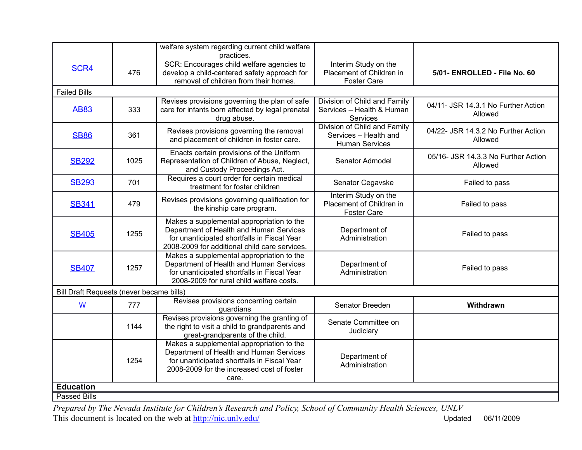|                                          |      | welfare system regarding current child welfare<br>practices.                                                                                                                               |                                                                                |                                                |  |
|------------------------------------------|------|--------------------------------------------------------------------------------------------------------------------------------------------------------------------------------------------|--------------------------------------------------------------------------------|------------------------------------------------|--|
| SCR4                                     | 476  | SCR: Encourages child welfare agencies to<br>develop a child-centered safety approach for<br>removal of children from their homes.                                                         | Interim Study on the<br>Placement of Children in<br><b>Foster Care</b>         | 5/01- ENROLLED - File No. 60                   |  |
| <b>Failed Bills</b>                      |      |                                                                                                                                                                                            |                                                                                |                                                |  |
| <b>AB83</b>                              | 333  | Revises provisions governing the plan of safe<br>care for infants born affected by legal prenatal<br>drug abuse.                                                                           | Division of Child and Family<br>Services - Health & Human<br>Services          | 04/11- JSR 14.3.1 No Further Action<br>Allowed |  |
| <b>SB86</b>                              | 361  | Revises provisions governing the removal<br>and placement of children in foster care.                                                                                                      | Division of Child and Family<br>Services - Health and<br><b>Human Services</b> | 04/22- JSR 14.3.2 No Further Action<br>Allowed |  |
| <b>SB292</b>                             | 1025 | Enacts certain provisions of the Uniform<br>Representation of Children of Abuse, Neglect,<br>and Custody Proceedings Act.                                                                  | Senator Admodel                                                                | 05/16- JSR 14.3.3 No Further Action<br>Allowed |  |
| <b>SB293</b>                             | 701  | Requires a court order for certain medical<br>treatment for foster children                                                                                                                | Senator Cegavske                                                               | Failed to pass                                 |  |
| <b>SB341</b>                             | 479  | Revises provisions governing qualification for<br>the kinship care program.                                                                                                                | Interim Study on the<br>Placement of Children in<br><b>Foster Care</b>         | Failed to pass                                 |  |
| <b>SB405</b>                             | 1255 | Makes a supplemental appropriation to the<br>Department of Health and Human Services<br>for unanticipated shortfalls in Fiscal Year<br>2008-2009 for additional child care services.       | Department of<br>Administration                                                | Failed to pass                                 |  |
| <b>SB407</b>                             | 1257 | Makes a supplemental appropriation to the<br>Department of Health and Human Services<br>for unanticipated shortfalls in Fiscal Year<br>2008-2009 for rural child welfare costs.            | Department of<br>Administration                                                | Failed to pass                                 |  |
| Bill Draft Requests (never became bills) |      |                                                                                                                                                                                            |                                                                                |                                                |  |
| W                                        | 777  | Revises provisions concerning certain<br>guardians                                                                                                                                         | Senator Breeden                                                                | Withdrawn                                      |  |
|                                          | 1144 | Revises provisions governing the granting of<br>the right to visit a child to grandparents and<br>great-grandparents of the child.                                                         | Senate Committee on<br>Judiciary                                               |                                                |  |
|                                          | 1254 | Makes a supplemental appropriation to the<br>Department of Health and Human Services<br>for unanticipated shortfalls in Fiscal Year<br>2008-2009 for the increased cost of foster<br>care. | Department of<br>Administration                                                |                                                |  |
| <b>Education</b>                         |      |                                                                                                                                                                                            |                                                                                |                                                |  |
| <b>Passed Bills</b>                      |      |                                                                                                                                                                                            |                                                                                |                                                |  |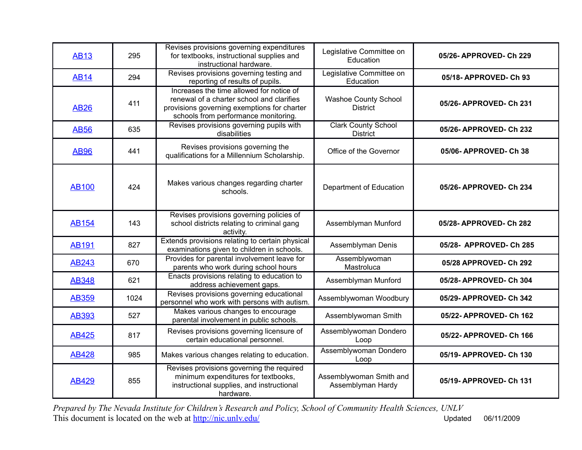| <b>AB13</b>  | 295  | Revises provisions governing expenditures<br>for textbooks, instructional supplies and<br>instructional hardware.                                                            | Legislative Committee on<br>Education         | 05/26- APPROVED- Ch 229 |
|--------------|------|------------------------------------------------------------------------------------------------------------------------------------------------------------------------------|-----------------------------------------------|-------------------------|
| <b>AB14</b>  | 294  | Revises provisions governing testing and<br>reporting of results of pupils.                                                                                                  | Legislative Committee on<br>Education         | 05/18- APPROVED- Ch 93  |
| <b>AB26</b>  | 411  | Increases the time allowed for notice of<br>renewal of a charter school and clarifies<br>provisions governing exemptions for charter<br>schools from performance monitoring. | Washoe County School<br><b>District</b>       | 05/26-APPROVED-Ch 231   |
| <b>AB56</b>  | 635  | Revises provisions governing pupils with<br>disabilities                                                                                                                     | <b>Clark County School</b><br><b>District</b> | 05/26-APPROVED-Ch 232   |
| <b>AB96</b>  | 441  | Revises provisions governing the<br>qualifications for a Millennium Scholarship.                                                                                             | Office of the Governor                        | 05/06- APPROVED- Ch 38  |
| <b>AB100</b> | 424  | Makes various changes regarding charter<br>schools.                                                                                                                          | Department of Education                       | 05/26-APPROVED-Ch 234   |
| <b>AB154</b> | 143  | Revises provisions governing policies of<br>school districts relating to criminal gang<br>activity.                                                                          | Assemblyman Munford                           | 05/28-APPROVED-Ch 282   |
| <b>AB191</b> | 827  | Extends provisions relating to certain physical<br>examinations given to children in schools.                                                                                | Assemblyman Denis                             | 05/28- APPROVED- Ch 285 |
| <b>AB243</b> | 670  | Provides for parental involvement leave for<br>parents who work during school hours                                                                                          | Assemblywoman<br>Mastroluca                   | 05/28 APPROVED- Ch 292  |
| <b>AB348</b> | 621  | Enacts provisions relating to education to<br>address achievement gaps.                                                                                                      | Assemblyman Munford                           | 05/28-APPROVED-Ch 304   |
| <b>AB359</b> | 1024 | Revises provisions governing educational<br>personnel who work with persons with autism.                                                                                     | Assemblywoman Woodbury                        | 05/29- APPROVED- Ch 342 |
| <b>AB393</b> | 527  | Makes various changes to encourage<br>parental involvement in public schools.                                                                                                | Assemblywoman Smith                           | 05/22- APPROVED- Ch 162 |
| <b>AB425</b> | 817  | Revises provisions governing licensure of<br>certain educational personnel.                                                                                                  | Assemblywoman Dondero<br>Loop                 | 05/22- APPROVED- Ch 166 |
| <b>AB428</b> | 985  | Makes various changes relating to education.                                                                                                                                 | Assemblywoman Dondero<br>Loop                 | 05/19-APPROVED-Ch 130   |
| <b>AB429</b> | 855  | Revises provisions governing the required<br>minimum expenditures for textbooks,<br>instructional supplies, and instructional<br>hardware.                                   | Assemblywoman Smith and<br>Assemblyman Hardy  | 05/19-APPROVED-Ch 131   |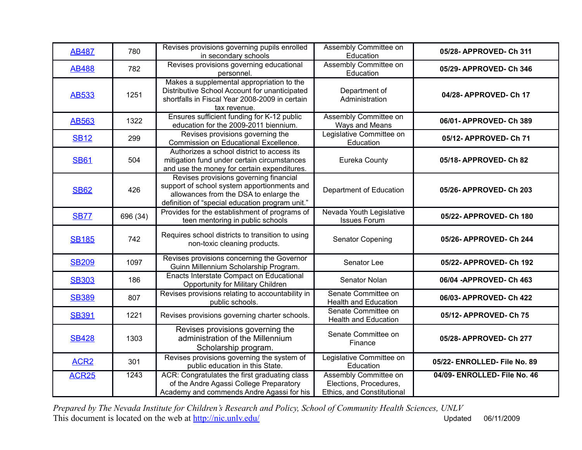| <b>AB487</b>     | 780      | Revises provisions governing pupils enrolled<br>in secondary schools                                                                                                               | Assembly Committee on<br>Education                                            | 05/28- APPROVED- Ch 311      |
|------------------|----------|------------------------------------------------------------------------------------------------------------------------------------------------------------------------------------|-------------------------------------------------------------------------------|------------------------------|
| <b>AB488</b>     | 782      | Revises provisions governing educational<br>personnel.                                                                                                                             | Assembly Committee on<br>Education                                            | 05/29- APPROVED- Ch 346      |
| <b>AB533</b>     | 1251     | Makes a supplemental appropriation to the<br>Distributive School Account for unanticipated<br>shortfalls in Fiscal Year 2008-2009 in certain<br>tax revenue.                       | Department of<br>Administration                                               | 04/28- APPROVED- Ch 17       |
| <b>AB563</b>     | 1322     | Ensures sufficient funding for K-12 public<br>education for the 2009-2011 biennium.                                                                                                | Assembly Committee on<br>Ways and Means                                       | 06/01-APPROVED-Ch 389        |
| <b>SB12</b>      | 299      | Revises provisions governing the<br>Commission on Educational Excellence.                                                                                                          | Legislative Committee on<br>Education                                         | 05/12- APPROVED- Ch 71       |
| <b>SB61</b>      | 504      | Authorizes a school district to access its<br>mitigation fund under certain circumstances<br>and use the money for certain expenditures.                                           | Eureka County                                                                 | 05/18-APPROVED-Ch 82         |
| <b>SB62</b>      | 426      | Revises provisions governing financial<br>support of school system apportionments and<br>allowances from the DSA to enlarge the<br>definition of "special education program unit." | Department of Education                                                       | 05/26- APPROVED- Ch 203      |
| <b>SB77</b>      | 696 (34) | Provides for the establishment of programs of<br>teen mentoring in public schools                                                                                                  | Nevada Youth Legislative<br><b>Issues Forum</b>                               | 05/22- APPROVED- Ch 180      |
| <b>SB185</b>     | 742      | Requires school districts to transition to using<br>non-toxic cleaning products.                                                                                                   | Senator Copening                                                              | 05/26- APPROVED- Ch 244      |
| <b>SB209</b>     | 1097     | Revises provisions concerning the Governor<br>Guinn Millennium Scholarship Program.                                                                                                | Senator Lee                                                                   | 05/22- APPROVED- Ch 192      |
| <b>SB303</b>     | 186      | Enacts Interstate Compact on Educational<br><b>Opportunity for Military Children</b>                                                                                               | Senator Nolan                                                                 | 06/04 - APPROVED- Ch 463     |
| <b>SB389</b>     | 807      | Revises provisions relating to accountability in<br>public schools.                                                                                                                | Senate Committee on<br><b>Health and Education</b>                            | 06/03-APPROVED-Ch 422        |
| <b>SB391</b>     | 1221     | Revises provisions governing charter schools.                                                                                                                                      | Senate Committee on<br><b>Health and Education</b>                            | 05/12- APPROVED- Ch 75       |
| <b>SB428</b>     | 1303     | Revises provisions governing the<br>administration of the Millennium<br>Scholarship program.                                                                                       | Senate Committee on<br>Finance                                                | 05/28-APPROVED-Ch 277        |
| ACR <sub>2</sub> | 301      | Revises provisions governing the system of<br>public education in this State.                                                                                                      | Legislative Committee on<br>Education                                         | 05/22- ENROLLED- File No. 89 |
| <b>ACR25</b>     | 1243     | ACR: Congratulates the first graduating class<br>of the Andre Agassi College Preparatory<br>Academy and commends Andre Agassi for his                                              | Assembly Committee on<br>Elections, Procedures,<br>Ethics, and Constitutional | 04/09- ENROLLED- File No. 46 |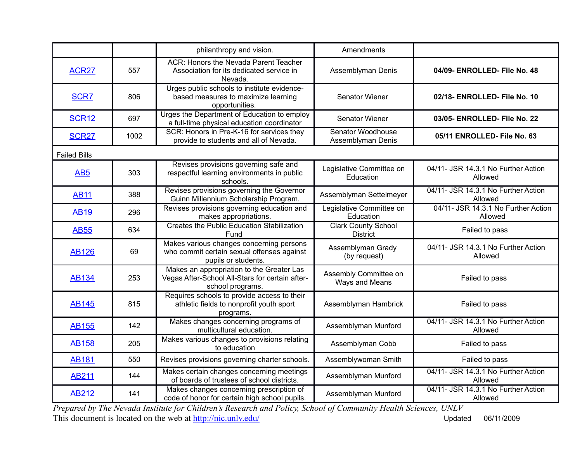|                     |      | philanthropy and vision.                                                                                         | Amendments                                    |                                                |
|---------------------|------|------------------------------------------------------------------------------------------------------------------|-----------------------------------------------|------------------------------------------------|
| <b>ACR27</b>        | 557  | ACR: Honors the Nevada Parent Teacher<br>Association for its dedicated service in<br>Nevada.                     | Assemblyman Denis                             | 04/09- ENROLLED- File No. 48                   |
| <b>SCR7</b>         | 806  | Urges public schools to institute evidence-<br>based measures to maximize learning<br>opportunities.             | Senator Wiener                                | 02/18- ENROLLED- File No. 10                   |
| <b>SCR12</b>        | 697  | Urges the Department of Education to employ<br>a full-time physical education coordinator                        | Senator Wiener                                | 03/05- ENROLLED- File No. 22                   |
| <b>SCR27</b>        | 1002 | SCR: Honors in Pre-K-16 for services they<br>provide to students and all of Nevada.                              | Senator Woodhouse<br>Assemblyman Denis        | 05/11 ENROLLED- File No. 63                    |
| <b>Failed Bills</b> |      |                                                                                                                  |                                               |                                                |
| AB <sub>5</sub>     | 303  | Revises provisions governing safe and<br>respectful learning environments in public<br>schools.                  | Legislative Committee on<br>Education         | 04/11- JSR 14.3.1 No Further Action<br>Allowed |
| <b>AB11</b>         | 388  | Revises provisions governing the Governor<br>Guinn Millennium Scholarship Program.                               | Assemblyman Settelmeyer                       | 04/11- JSR 14.3.1 No Further Action<br>Allowed |
| <b>AB19</b>         | 296  | Revises provisions governing education and<br>makes appropriations.                                              | Legislative Committee on<br>Education         | 04/11- JSR 14.3.1 No Further Action<br>Allowed |
| <b>AB55</b>         | 634  | <b>Creates the Public Education Stabilization</b><br>Fund                                                        | <b>Clark County School</b><br><b>District</b> | Failed to pass                                 |
| <b>AB126</b>        | 69   | Makes various changes concerning persons<br>who commit certain sexual offenses against<br>pupils or students.    | Assemblyman Grady<br>(by request)             | 04/11- JSR 14.3.1 No Further Action<br>Allowed |
| <b>AB134</b>        | 253  | Makes an appropriation to the Greater Las<br>Vegas After-School All-Stars for certain after-<br>school programs. | Assembly Committee on<br>Ways and Means       | Failed to pass                                 |
| <b>AB145</b>        | 815  | Requires schools to provide access to their<br>athletic fields to nonprofit youth sport<br>programs.             | Assemblyman Hambrick                          | Failed to pass                                 |
| <b>AB155</b>        | 142  | Makes changes concerning programs of<br>multicultural education.                                                 | Assemblyman Munford                           | 04/11- JSR 14.3.1 No Further Action<br>Allowed |
| <b>AB158</b>        | 205  | Makes various changes to provisions relating<br>to education                                                     | Assemblyman Cobb                              | Failed to pass                                 |
| <b>AB181</b>        | 550  | Revises provisions governing charter schools.                                                                    | Assemblywoman Smith                           | Failed to pass                                 |
| <b>AB211</b>        | 144  | Makes certain changes concerning meetings<br>of boards of trustees of school districts.                          | Assemblyman Munford                           | 04/11- JSR 14.3.1 No Further Action<br>Allowed |
| <b>AB212</b>        | 141  | Makes changes concerning prescription of<br>code of honor for certain high school pupils.                        | Assemblyman Munford                           | 04/11- JSR 14.3.1 No Further Action<br>Allowed |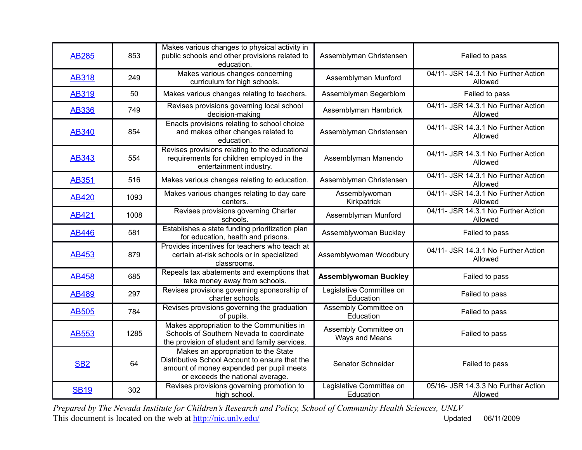| <b>AB285</b>    | 853  | Makes various changes to physical activity in<br>public schools and other provisions related to<br>education.                                                         | Assemblyman Christensen                 | Failed to pass                                 |
|-----------------|------|-----------------------------------------------------------------------------------------------------------------------------------------------------------------------|-----------------------------------------|------------------------------------------------|
| <b>AB318</b>    | 249  | Makes various changes concerning<br>curriculum for high schools.                                                                                                      | Assemblyman Munford                     | 04/11- JSR 14.3.1 No Further Action<br>Allowed |
| <b>AB319</b>    | 50   | Makes various changes relating to teachers.                                                                                                                           | Assemblyman Segerblom                   | Failed to pass                                 |
| <b>AB336</b>    | 749  | Revises provisions governing local school<br>decision-making                                                                                                          | Assemblyman Hambrick                    | 04/11- JSR 14.3.1 No Further Action<br>Allowed |
| <b>AB340</b>    | 854  | Enacts provisions relating to school choice<br>and makes other changes related to<br>education.                                                                       | Assemblyman Christensen                 | 04/11- JSR 14.3.1 No Further Action<br>Allowed |
| <b>AB343</b>    | 554  | Revises provisions relating to the educational<br>requirements for children employed in the<br>entertainment industry.                                                | Assemblyman Manendo                     | 04/11- JSR 14.3.1 No Further Action<br>Allowed |
| <b>AB351</b>    | 516  | Makes various changes relating to education.                                                                                                                          | Assemblyman Christensen                 | 04/11- JSR 14.3.1 No Further Action<br>Allowed |
| <b>AB420</b>    | 1093 | Makes various changes relating to day care<br>centers.                                                                                                                | Assemblywoman<br>Kirkpatrick            | 04/11- JSR 14.3.1 No Further Action<br>Allowed |
| <b>AB421</b>    | 1008 | Revises provisions governing Charter<br>schools.                                                                                                                      | Assemblyman Munford                     | 04/11- JSR 14.3.1 No Further Action<br>Allowed |
| <b>AB446</b>    | 581  | Establishes a state funding prioritization plan<br>for education, health and prisons.                                                                                 | Assemblywoman Buckley                   | Failed to pass                                 |
| <b>AB453</b>    | 879  | Provides incentives for teachers who teach at<br>certain at-risk schools or in specialized<br>classrooms.                                                             | Assemblywoman Woodbury                  | 04/11- JSR 14.3.1 No Further Action<br>Allowed |
| <b>AB458</b>    | 685  | Repeals tax abatements and exemptions that<br>take money away from schools.                                                                                           | <b>Assemblywoman Buckley</b>            | Failed to pass                                 |
| <b>AB489</b>    | 297  | Revises provisions governing sponsorship of<br>charter schools.                                                                                                       | Legislative Committee on<br>Education   | Failed to pass                                 |
| <b>AB505</b>    | 784  | Revises provisions governing the graduation<br>of pupils.                                                                                                             | Assembly Committee on<br>Education      | Failed to pass                                 |
| <b>AB553</b>    | 1285 | Makes appropriation to the Communities in<br>Schools of Southern Nevada to coordinate<br>the provision of student and family services.                                | Assembly Committee on<br>Ways and Means | Failed to pass                                 |
| SB <sub>2</sub> | 64   | Makes an appropriation to the State<br>Distributive School Account to ensure that the<br>amount of money expended per pupil meets<br>or exceeds the national average. | Senator Schneider                       | Failed to pass                                 |
| <b>SB19</b>     | 302  | Revises provisions governing promotion to<br>high school.                                                                                                             | Legislative Committee on<br>Education   | 05/16- JSR 14.3.3 No Further Action<br>Allowed |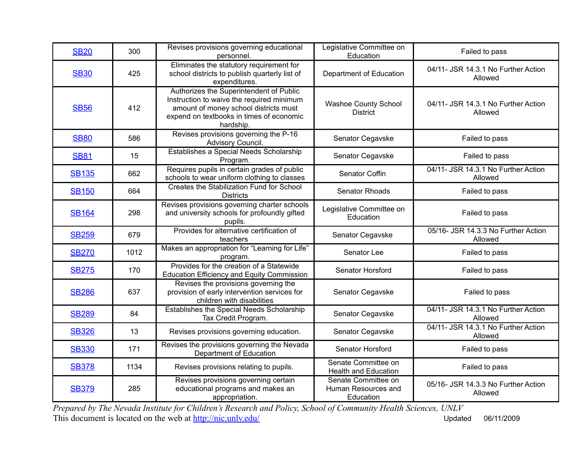| <b>SB20</b>  | 300  | Revises provisions governing educational<br>personnel.                                                                                                                                 | Legislative Committee on<br>Education                   | Failed to pass                                 |
|--------------|------|----------------------------------------------------------------------------------------------------------------------------------------------------------------------------------------|---------------------------------------------------------|------------------------------------------------|
| <b>SB30</b>  | 425  | Eliminates the statutory requirement for<br>school districts to publish quarterly list of<br>expenditures.                                                                             | Department of Education                                 | 04/11- JSR 14.3.1 No Further Action<br>Allowed |
| <b>SB56</b>  | 412  | Authorizes the Superintendent of Public<br>Instruction to waive the required minimum<br>amount of money school districts must<br>expend on textbooks in times of economic<br>hardship. | Washoe County School<br><b>District</b>                 | 04/11- JSR 14.3.1 No Further Action<br>Allowed |
| <b>SB80</b>  | 586  | Revises provisions governing the P-16<br>Advisory Council.                                                                                                                             | Senator Cegavske                                        | Failed to pass                                 |
| <b>SB81</b>  | 15   | Establishes a Special Needs Scholarship<br>Program.                                                                                                                                    | Senator Cegavske                                        | Failed to pass                                 |
| <b>SB135</b> | 662  | Requires pupils in certain grades of public<br>schools to wear uniform clothing to classes                                                                                             | Senator Coffin                                          | 04/11- JSR 14.3.1 No Further Action<br>Allowed |
| <b>SB150</b> | 664  | Creates the Stabilization Fund for School<br><b>Districts</b>                                                                                                                          | Senator Rhoads                                          | Failed to pass                                 |
| <b>SB164</b> | 298  | Revises provisions governing charter schools<br>and university schools for profoundly gifted<br>pupils.                                                                                | Legislative Committee on<br>Education                   | Failed to pass                                 |
| <b>SB259</b> | 679  | Provides for alternative certification of<br>teachers                                                                                                                                  | Senator Cegavske                                        | 05/16- JSR 14.3.3 No Further Action<br>Allowed |
| <b>SB270</b> | 1012 | Makes an appropriation for "Learning for Life"<br>program.                                                                                                                             | Senator Lee                                             | Failed to pass                                 |
| <b>SB275</b> | 170  | Provides for the creation of a Statewide<br><b>Education Efficiency and Equity Commission</b>                                                                                          | Senator Horsford                                        | Failed to pass                                 |
| <b>SB286</b> | 637  | Revises the provisions governing the<br>provision of early intervention services for<br>children with disabilities                                                                     | Senator Cegavske                                        | Failed to pass                                 |
| <b>SB289</b> | 84   | Establishes the Special Needs Scholarship<br>Tax Credit Program.                                                                                                                       | Senator Cegavske                                        | 04/11- JSR 14.3.1 No Further Action<br>Allowed |
| <b>SB326</b> | 13   | Revises provisions governing education.                                                                                                                                                | Senator Cegavske                                        | 04/11- JSR 14.3.1 No Further Action<br>Allowed |
| <b>SB330</b> | 171  | Revises the provisions governing the Nevada<br>Department of Education                                                                                                                 | Senator Horsford                                        | Failed to pass                                 |
| <b>SB378</b> | 1134 | Revises provisions relating to pupils.                                                                                                                                                 | Senate Committee on<br><b>Health and Education</b>      | Failed to pass                                 |
| <b>SB379</b> | 285  | Revises provisions governing certain<br>educational programs and makes an<br>appropriation.                                                                                            | Senate Committee on<br>Human Resources and<br>Education | 05/16- JSR 14.3.3 No Further Action<br>Allowed |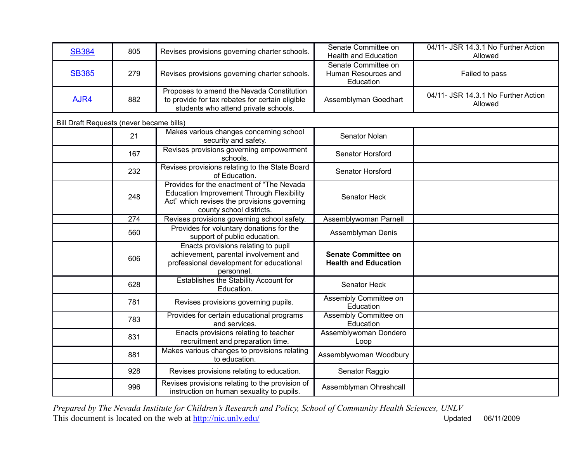| <b>SB384</b>                             | 805 | Revises provisions governing charter schools.                                                                                                                             | Senate Committee on<br><b>Health and Education</b>        | 04/11- JSR 14.3.1 No Further Action<br>Allowed |
|------------------------------------------|-----|---------------------------------------------------------------------------------------------------------------------------------------------------------------------------|-----------------------------------------------------------|------------------------------------------------|
| <b>SB385</b>                             | 279 | Revises provisions governing charter schools.                                                                                                                             | Senate Committee on<br>Human Resources and<br>Education   | Failed to pass                                 |
| AJR4                                     | 882 | Proposes to amend the Nevada Constitution<br>to provide for tax rebates for certain eligible<br>students who attend private schools.                                      | Assemblyman Goedhart                                      | 04/11- JSR 14.3.1 No Further Action<br>Allowed |
| Bill Draft Requests (never became bills) |     |                                                                                                                                                                           |                                                           |                                                |
|                                          | 21  | Makes various changes concerning school<br>security and safety.                                                                                                           | Senator Nolan                                             |                                                |
|                                          | 167 | Revises provisions governing empowerment<br>schools.                                                                                                                      | Senator Horsford                                          |                                                |
|                                          | 232 | Revises provisions relating to the State Board<br>of Education.                                                                                                           | Senator Horsford                                          |                                                |
|                                          | 248 | Provides for the enactment of "The Nevada"<br><b>Education Improvement Through Flexibility</b><br>Act" which revises the provisions governing<br>county school districts. | Senator Heck                                              |                                                |
|                                          | 274 | Revises provisions governing school safety.                                                                                                                               | Assemblywoman Parnell                                     |                                                |
|                                          | 560 | Provides for voluntary donations for the<br>support of public education.                                                                                                  | Assemblyman Denis                                         |                                                |
|                                          | 606 | Enacts provisions relating to pupil<br>achievement, parental involvement and<br>professional development for educational<br>personnel.                                    | <b>Senate Committee on</b><br><b>Health and Education</b> |                                                |
|                                          | 628 | Establishes the Stability Account for<br>Education.                                                                                                                       | Senator Heck                                              |                                                |
|                                          | 781 | Revises provisions governing pupils.                                                                                                                                      | Assembly Committee on<br>Education                        |                                                |
|                                          | 783 | Provides for certain educational programs<br>and services.                                                                                                                | Assembly Committee on<br>Education                        |                                                |
|                                          | 831 | Enacts provisions relating to teacher<br>recruitment and preparation time.                                                                                                | Assemblywoman Dondero<br>Loop                             |                                                |
|                                          | 881 | Makes various changes to provisions relating<br>to education.                                                                                                             | Assemblywoman Woodbury                                    |                                                |
|                                          | 928 | Revises provisions relating to education.                                                                                                                                 | Senator Raggio                                            |                                                |
|                                          | 996 | Revises provisions relating to the provision of<br>instruction on human sexuality to pupils.                                                                              | Assemblyman Ohreshcall                                    |                                                |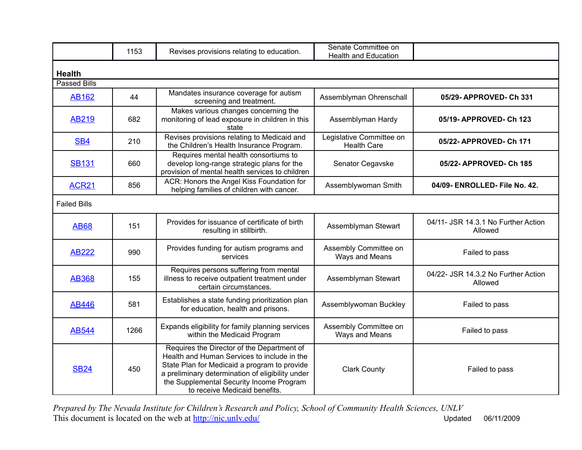|                     | 1153 | Revises provisions relating to education.                                                                                                                                                                                                                                  | Senate Committee on<br><b>Health and Education</b> |                                                |  |  |
|---------------------|------|----------------------------------------------------------------------------------------------------------------------------------------------------------------------------------------------------------------------------------------------------------------------------|----------------------------------------------------|------------------------------------------------|--|--|
| <b>Health</b>       |      |                                                                                                                                                                                                                                                                            |                                                    |                                                |  |  |
| <b>Passed Bills</b> |      |                                                                                                                                                                                                                                                                            |                                                    |                                                |  |  |
| <b>AB162</b>        | 44   | Mandates insurance coverage for autism<br>screening and treatment.                                                                                                                                                                                                         | Assemblyman Ohrenschall                            | 05/29-APPROVED-Ch 331                          |  |  |
| <b>AB219</b>        | 682  | Makes various changes concerning the<br>monitoring of lead exposure in children in this<br>state                                                                                                                                                                           | Assemblyman Hardy                                  | 05/19- APPROVED- Ch 123                        |  |  |
| SB <sub>4</sub>     | 210  | Revises provisions relating to Medicaid and<br>the Children's Health Insurance Program.                                                                                                                                                                                    | Legislative Committee on<br><b>Health Care</b>     | 05/22- APPROVED- Ch 171                        |  |  |
| <b>SB131</b>        | 660  | Requires mental health consortiums to<br>develop long-range strategic plans for the<br>provision of mental health services to children                                                                                                                                     | Senator Cegavske                                   | 05/22- APPROVED- Ch 185                        |  |  |
| <b>ACR21</b>        | 856  | ACR: Honors the Angel Kiss Foundation for<br>helping families of children with cancer.                                                                                                                                                                                     | Assemblywoman Smith                                | 04/09- ENROLLED- File No. 42.                  |  |  |
| <b>Failed Bills</b> |      |                                                                                                                                                                                                                                                                            |                                                    |                                                |  |  |
| <b>AB68</b>         | 151  | Provides for issuance of certificate of birth<br>resulting in stillbirth.                                                                                                                                                                                                  | Assemblyman Stewart                                | 04/11- JSR 14.3.1 No Further Action<br>Allowed |  |  |
| <b>AB222</b>        | 990  | Provides funding for autism programs and<br>services                                                                                                                                                                                                                       | Assembly Committee on<br>Ways and Means            | Failed to pass                                 |  |  |
| <b>AB368</b>        | 155  | Requires persons suffering from mental<br>illness to receive outpatient treatment under<br>certain circumstances.                                                                                                                                                          | Assemblyman Stewart                                | 04/22- JSR 14.3.2 No Further Action<br>Allowed |  |  |
| <b>AB446</b>        | 581  | Establishes a state funding prioritization plan<br>for education, health and prisons.                                                                                                                                                                                      | Assemblywoman Buckley                              | Failed to pass                                 |  |  |
| <b>AB544</b>        | 1266 | Expands eligibility for family planning services<br>within the Medicaid Program                                                                                                                                                                                            | Assembly Committee on<br>Ways and Means            | Failed to pass                                 |  |  |
| <b>SB24</b>         | 450  | Requires the Director of the Department of<br>Health and Human Services to include in the<br>State Plan for Medicaid a program to provide<br>a preliminary determination of eligibility under<br>the Supplemental Security Income Program<br>to receive Medicaid benefits. | <b>Clark County</b>                                | Failed to pass                                 |  |  |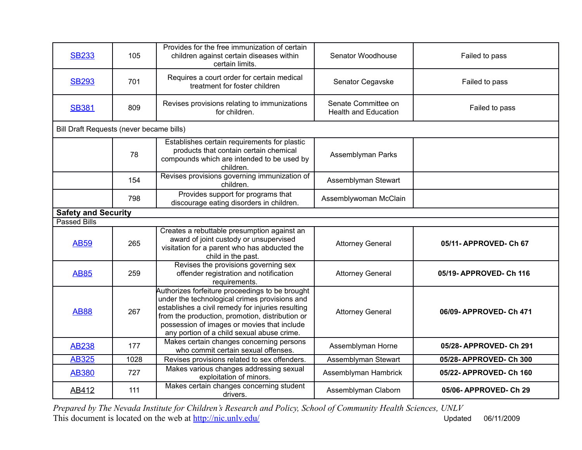| <b>SB233</b>                             | 105  | Provides for the free immunization of certain<br>children against certain diseases within<br>certain limits.                                                                                                                                                                                          | Senator Woodhouse                                  | Failed to pass          |
|------------------------------------------|------|-------------------------------------------------------------------------------------------------------------------------------------------------------------------------------------------------------------------------------------------------------------------------------------------------------|----------------------------------------------------|-------------------------|
| <b>SB293</b>                             | 701  | Requires a court order for certain medical<br>treatment for foster children                                                                                                                                                                                                                           | Senator Cegavske                                   | Failed to pass          |
| <b>SB381</b>                             | 809  | Revises provisions relating to immunizations<br>for children.                                                                                                                                                                                                                                         | Senate Committee on<br><b>Health and Education</b> | Failed to pass          |
| Bill Draft Requests (never became bills) |      |                                                                                                                                                                                                                                                                                                       |                                                    |                         |
|                                          | 78   | Establishes certain requirements for plastic<br>products that contain certain chemical<br>compounds which are intended to be used by<br>children.                                                                                                                                                     | Assemblyman Parks                                  |                         |
|                                          | 154  | Revises provisions governing immunization of<br>children.                                                                                                                                                                                                                                             | Assemblyman Stewart                                |                         |
|                                          | 798  | Provides support for programs that<br>discourage eating disorders in children.                                                                                                                                                                                                                        | Assemblywoman McClain                              |                         |
| <b>Safety and Security</b>               |      |                                                                                                                                                                                                                                                                                                       |                                                    |                         |
| <b>Passed Bills</b>                      |      |                                                                                                                                                                                                                                                                                                       |                                                    |                         |
| <b>AB59</b>                              | 265  | Creates a rebuttable presumption against an<br>award of joint custody or unsupervised<br>visitation for a parent who has abducted the<br>child in the past.                                                                                                                                           | <b>Attorney General</b>                            | 05/11- APPROVED- Ch 67  |
| <b>AB85</b>                              | 259  | Revises the provisions governing sex<br>offender registration and notification<br>requirements.                                                                                                                                                                                                       | <b>Attorney General</b>                            | 05/19-APPROVED-Ch 116   |
| <b>AB88</b>                              | 267  | Authorizes forfeiture proceedings to be brought<br>under the technological crimes provisions and<br>establishes a civil remedy for injuries resulting<br>from the production, promotion, distribution or<br>possession of images or movies that include<br>any portion of a child sexual abuse crime. | <b>Attorney General</b>                            | 06/09-APPROVED-Ch 471   |
| <b>AB238</b>                             | 177  | Makes certain changes concerning persons<br>who commit certain sexual offenses.                                                                                                                                                                                                                       | Assemblyman Horne                                  | 05/28-APPROVED-Ch 291   |
| <b>AB325</b>                             | 1028 | Revises provisions related to sex offenders.                                                                                                                                                                                                                                                          | Assemblyman Stewart                                | 05/28-APPROVED-Ch 300   |
| <b>AB380</b>                             | 727  | Makes various changes addressing sexual<br>exploitation of minors.                                                                                                                                                                                                                                    | Assemblyman Hambrick                               | 05/22- APPROVED- Ch 160 |
| AB412                                    | 111  | Makes certain changes concerning student<br>drivers.                                                                                                                                                                                                                                                  | Assemblyman Claborn                                | 05/06- APPROVED- Ch 29  |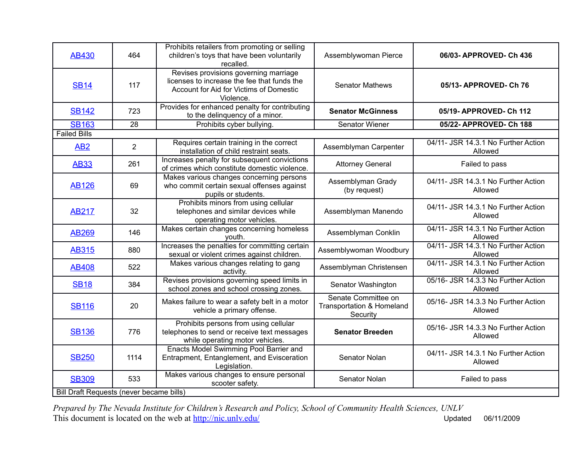| AB430                                    | 464            | Prohibits retailers from promoting or selling<br>children's toys that have been voluntarily<br>recalled.                                     | Assemblywoman Pierce                                         | 06/03-APPROVED-Ch 436                          |  |
|------------------------------------------|----------------|----------------------------------------------------------------------------------------------------------------------------------------------|--------------------------------------------------------------|------------------------------------------------|--|
| <b>SB14</b>                              | 117            | Revises provisions governing marriage<br>licenses to increase the fee that funds the<br>Account for Aid for Victims of Domestic<br>Violence. | <b>Senator Mathews</b>                                       | 05/13- APPROVED- Ch 76                         |  |
| <b>SB142</b>                             | 723            | Provides for enhanced penalty for contributing<br>to the delinquency of a minor.                                                             | <b>Senator McGinness</b>                                     | 05/19-APPROVED-Ch 112                          |  |
| <b>SB163</b>                             | 28             | Prohibits cyber bullying.                                                                                                                    | Senator Wiener                                               | 05/22- APPROVED- Ch 188                        |  |
| <b>Failed Bills</b>                      |                |                                                                                                                                              |                                                              |                                                |  |
| AB <sub>2</sub>                          | $\overline{2}$ | Requires certain training in the correct<br>installation of child restraint seats.                                                           | Assemblyman Carpenter                                        | 04/11- JSR 14.3.1 No Further Action<br>Allowed |  |
| <b>AB33</b>                              | 261            | Increases penalty for subsequent convictions<br>of crimes which constitute domestic violence.                                                | <b>Attorney General</b>                                      | Failed to pass                                 |  |
| <b>AB126</b>                             | 69             | Makes various changes concerning persons<br>who commit certain sexual offenses against<br>pupils or students.                                | Assemblyman Grady<br>(by request)                            | 04/11- JSR 14.3.1 No Further Action<br>Allowed |  |
| <b>AB217</b>                             | 32             | Prohibits minors from using cellular<br>telephones and similar devices while<br>operating motor vehicles.                                    | Assemblyman Manendo                                          | 04/11- JSR 14.3.1 No Further Action<br>Allowed |  |
| <b>AB269</b>                             | 146            | Makes certain changes concerning homeless<br>youth.                                                                                          | Assemblyman Conklin                                          | 04/11- JSR 14.3.1 No Further Action<br>Allowed |  |
| <b>AB315</b>                             | 880            | Increases the penalties for committing certain<br>sexual or violent crimes against children.                                                 | Assemblywoman Woodbury                                       | 04/11- JSR 14.3.1 No Further Action<br>Allowed |  |
| <b>AB408</b>                             | 522            | Makes various changes relating to gang<br>activity.                                                                                          | Assemblyman Christensen                                      | 04/11- JSR 14.3.1 No Further Action<br>Allowed |  |
| <b>SB18</b>                              | 384            | Revises provisions governing speed limits in<br>school zones and school crossing zones.                                                      | Senator Washington                                           | 05/16- JSR 14.3.3 No Further Action<br>Allowed |  |
| <b>SB116</b>                             | 20             | Makes failure to wear a safety belt in a motor<br>vehicle a primary offense.                                                                 | Senate Committee on<br>Transportation & Homeland<br>Security | 05/16- JSR 14.3.3 No Further Action<br>Allowed |  |
| <b>SB136</b>                             | 776            | Prohibits persons from using cellular<br>telephones to send or receive text messages<br>while operating motor vehicles.                      | <b>Senator Breeden</b>                                       | 05/16- JSR 14.3.3 No Further Action<br>Allowed |  |
| <b>SB250</b>                             | 1114           | Enacts Model Swimming Pool Barrier and<br>Entrapment, Entanglement, and Evisceration<br>Legislation.                                         | Senator Nolan                                                | 04/11- JSR 14.3.1 No Further Action<br>Allowed |  |
| <b>SB309</b>                             | 533            | Makes various changes to ensure personal<br>scooter safety.                                                                                  | Senator Nolan                                                | Failed to pass                                 |  |
| Bill Draft Requests (never became bills) |                |                                                                                                                                              |                                                              |                                                |  |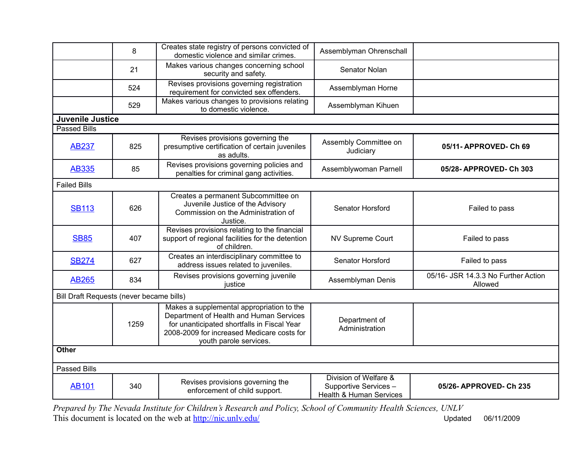|                                          | 8    | Creates state registry of persons convicted of<br>domestic violence and similar crimes.                                                                                                                     | Assemblyman Ohrenschall                                                              |                                                |  |
|------------------------------------------|------|-------------------------------------------------------------------------------------------------------------------------------------------------------------------------------------------------------------|--------------------------------------------------------------------------------------|------------------------------------------------|--|
|                                          | 21   | Makes various changes concerning school<br>security and safety.                                                                                                                                             | Senator Nolan                                                                        |                                                |  |
|                                          | 524  | Revises provisions governing registration<br>requirement for convicted sex offenders.                                                                                                                       | Assemblyman Horne                                                                    |                                                |  |
|                                          | 529  | Makes various changes to provisions relating<br>to domestic violence.                                                                                                                                       | Assemblyman Kihuen                                                                   |                                                |  |
| <b>Juvenile Justice</b>                  |      |                                                                                                                                                                                                             |                                                                                      |                                                |  |
| <b>Passed Bills</b>                      |      |                                                                                                                                                                                                             |                                                                                      |                                                |  |
| <b>AB237</b>                             | 825  | Revises provisions governing the<br>presumptive certification of certain juveniles<br>as adults.                                                                                                            | Assembly Committee on<br>Judiciary                                                   | 05/11-APPROVED-Ch 69                           |  |
| <b>AB335</b>                             | 85   | Revises provisions governing policies and<br>penalties for criminal gang activities.                                                                                                                        | Assemblywoman Parnell                                                                | 05/28- APPROVED- Ch 303                        |  |
| <b>Failed Bills</b>                      |      |                                                                                                                                                                                                             |                                                                                      |                                                |  |
| <b>SB113</b>                             | 626  | Creates a permanent Subcommittee on<br>Juvenile Justice of the Advisory<br>Commission on the Administration of<br>Justice.                                                                                  | Senator Horsford                                                                     | Failed to pass                                 |  |
| <b>SB85</b>                              | 407  | Revises provisions relating to the financial<br>support of regional facilities for the detention<br>of children.                                                                                            | NV Supreme Court                                                                     | Failed to pass                                 |  |
| <b>SB274</b>                             | 627  | Creates an interdisciplinary committee to<br>address issues related to juveniles.                                                                                                                           | Senator Horsford                                                                     | Failed to pass                                 |  |
| <b>AB265</b>                             | 834  | Revises provisions governing juvenile<br>justice                                                                                                                                                            | Assemblyman Denis                                                                    | 05/16- JSR 14.3.3 No Further Action<br>Allowed |  |
| Bill Draft Requests (never became bills) |      |                                                                                                                                                                                                             |                                                                                      |                                                |  |
|                                          | 1259 | Makes a supplemental appropriation to the<br>Department of Health and Human Services<br>for unanticipated shortfalls in Fiscal Year<br>2008-2009 for increased Medicare costs for<br>youth parole services. | Department of<br>Administration                                                      |                                                |  |
| <b>Other</b>                             |      |                                                                                                                                                                                                             |                                                                                      |                                                |  |
| <b>Passed Bills</b>                      |      |                                                                                                                                                                                                             |                                                                                      |                                                |  |
| <b>AB101</b>                             | 340  | Revises provisions governing the<br>enforcement of child support.                                                                                                                                           | Division of Welfare &<br>Supportive Services -<br><b>Health &amp; Human Services</b> | 05/26- APPROVED- Ch 235                        |  |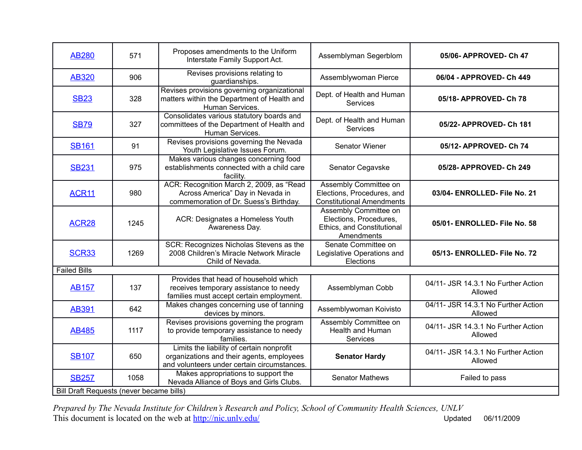| <b>AB280</b>                             | 571  | Proposes amendments to the Uniform<br>Interstate Family Support Act.                                                                  | Assemblyman Segerblom                                                                       | 05/06- APPROVED- Ch 47                         |  |  |
|------------------------------------------|------|---------------------------------------------------------------------------------------------------------------------------------------|---------------------------------------------------------------------------------------------|------------------------------------------------|--|--|
| <b>AB320</b>                             | 906  | Revises provisions relating to<br>guardianships.                                                                                      | Assemblywoman Pierce                                                                        | 06/04 - APPROVED- Ch 449                       |  |  |
| <b>SB23</b>                              | 328  | Revises provisions governing organizational<br>matters within the Department of Health and<br>Human Services.                         | Dept. of Health and Human<br><b>Services</b>                                                | 05/18- APPROVED- Ch 78                         |  |  |
| <b>SB79</b>                              | 327  | Consolidates various statutory boards and<br>committees of the Department of Health and<br>Human Services.                            | Dept. of Health and Human<br><b>Services</b>                                                | 05/22- APPROVED- Ch 181                        |  |  |
| <b>SB161</b>                             | 91   | Revises provisions governing the Nevada<br>Youth Legislative Issues Forum.                                                            | Senator Wiener                                                                              | 05/12- APPROVED- Ch 74                         |  |  |
| <b>SB231</b>                             | 975  | Makes various changes concerning food<br>establishments connected with a child care<br>facility.                                      | Senator Cegavske                                                                            | 05/28-APPROVED-Ch 249                          |  |  |
| ACR <sub>11</sub>                        | 980  | ACR: Recognition March 2, 2009, as "Read<br>Across America" Day in Nevada in<br>commemoration of Dr. Suess's Birthday.                | Assembly Committee on<br>Elections, Procedures, and<br><b>Constitutional Amendments</b>     | 03/04- ENROLLED- File No. 21                   |  |  |
| ACR28                                    | 1245 | ACR: Designates a Homeless Youth<br>Awareness Day.                                                                                    | Assembly Committee on<br>Elections, Procedures,<br>Ethics, and Constitutional<br>Amendments | 05/01- ENROLLED- File No. 58                   |  |  |
| <b>SCR33</b>                             | 1269 | SCR: Recognizes Nicholas Stevens as the<br>2008 Children's Miracle Network Miracle<br>Child of Nevada.                                | Senate Committee on<br>Legislative Operations and<br>Elections                              | 05/13- ENROLLED- File No. 72                   |  |  |
| <b>Failed Bills</b>                      |      |                                                                                                                                       |                                                                                             |                                                |  |  |
| <b>AB157</b>                             | 137  | Provides that head of household which<br>receives temporary assistance to needy<br>families must accept certain employment.           | Assemblyman Cobb                                                                            | 04/11- JSR 14.3.1 No Further Action<br>Allowed |  |  |
| <b>AB391</b>                             | 642  | Makes changes concerning use of tanning<br>devices by minors.                                                                         | Assemblywoman Koivisto                                                                      | 04/11- JSR 14.3.1 No Further Action<br>Allowed |  |  |
| <b>AB485</b>                             | 1117 | Revises provisions governing the program<br>to provide temporary assistance to needy<br>families.                                     | Assembly Committee on<br>Health and Human<br>Services                                       | 04/11- JSR 14.3.1 No Further Action<br>Allowed |  |  |
| <b>SB107</b>                             | 650  | Limits the liability of certain nonprofit<br>organizations and their agents, employees<br>and volunteers under certain circumstances. | <b>Senator Hardy</b>                                                                        | 04/11- JSR 14.3.1 No Further Action<br>Allowed |  |  |
| <b>SB257</b>                             | 1058 | Makes appropriations to support the<br>Nevada Alliance of Boys and Girls Clubs.                                                       | <b>Senator Mathews</b>                                                                      | Failed to pass                                 |  |  |
| Bill Draft Requests (never became bills) |      |                                                                                                                                       |                                                                                             |                                                |  |  |